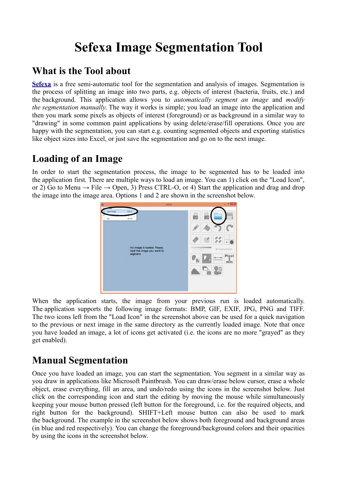# **Sefexa Image Segmentation Tool**

### **What is the Tool about**

**[Sefexa](http://www.fexovi.com/sefexa.html)** is a free semi-automatic tool for the segmentation and analysis of images. Segmentation is the process of splitting an image into two parts, e.g. objects of interest (bacteria, fruits, etc.) and the background. This application allows you to *automatically segment an image* and *modify the segmentation manually*. The way it works is simple; you load an image into the application and then you mark some pixels as objects of interest (foreground) or as background in a similar way to "drawing" in some common paint applications by using delete/erase/fill operations. Once you are happy with the segmentation, you can start e.g. counting segmented objects and exporting statistics like object sizes into Excel, or just save the segmentation and go on to the next image.

## **Loading of an Image**

In order to start the segmentation process, the image to be segmented has to be loaded into the application first. There are multiple ways to load an image. You can 1) click on the "Load Icon", or 2) Go to Menu  $\rightarrow$  File  $\rightarrow$  Open, 3) Press CTRL-O, or 4) Start the application and drag and drop the image into the image area. Options 1 and 2 are shown in the screenshot below.



When the application starts, the image from your previous run is loaded automatically. The application supports the following image formats: BMP, GIF, EXIF, JPG, PNG and TIFF. The two icons left from the "Load Icon" in the screenshot above can be used for a quick navigation to the previous or next image in the same directory as the currently loaded image. Note that once you have loaded an image, a lot of icons get activated (i.e. the icons are no more "grayed" as they get enabled).

## <span id="page-0-0"></span>**Manual Segmentation**

Once you have loaded an image, you can start the segmentation. You segment in a similar way as you draw in applications like Microsoft Paintbrush. You can draw/erase below cursor, erase a whole object, erase everything, fill an area, and undo/redo using the icons in the screenshot below. Just click on the corresponding icon and start the editing by moving the mouse while simultaneously keeping your mouse button pressed (left button for the foreground, i.e. for the required objects, and right button for the background). SHIFT+Left mouse button can also be used to mark the background. The example in the screenshot below shows both foreground and background areas (in blue and red respectively). You can change the foreground/background colors and their opacities by using the icons in the screenshot below.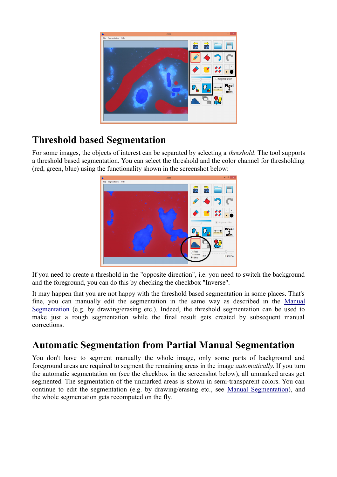

## **Threshold based Segmentation**

For some images, the objects of interest can be separated by selecting a *threshold*. The tool supports a threshold based segmentation. You can select the threshold and the color channel for thresholding (red, green, blue) using the functionality shown in the screenshot below:



If you need to create a threshold in the "opposite direction", i.e. you need to switch the background and the foreground, you can do this by checking the checkbox "Inverse".

It may happen that you are not happy with the threshold based segmentation in some places. That's fine, you can manually edit the segmentation in the same way as described in the [Manual](#page-0-0) [Segmentation](#page-0-0) (e.g. by drawing/erasing etc.). Indeed, the threshold segmentation can be used to make just a rough segmentation while the final result gets created by subsequent manual corrections.

### **Automatic Segmentation from Partial Manual Segmentation**

You don't have to segment manually the whole image, only some parts of background and foreground areas are required to segment the remaining areas in the image *automatically*. If you turn the automatic segmentation on (see the checkbox in the screenshot below), all unmarked areas get segmented. The segmentation of the unmarked areas is shown in semi-transparent colors. You can continue to edit the segmentation (e.g. by drawing/erasing etc., see [Manual Segmentation\)](#page-0-0), and the whole segmentation gets recomputed on the fly.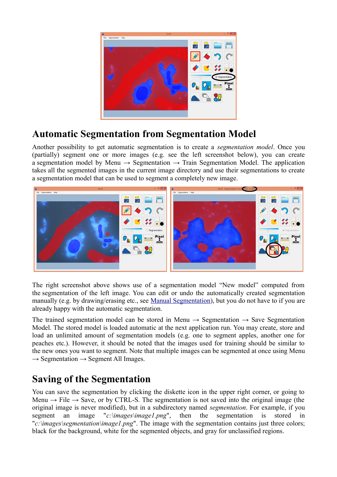

### **Automatic Segmentation from Segmentation Model**

Another possibility to get automatic segmentation is to create a *segmentation model*. Once you (partially) segment one or more images (e.g. see the left screenshot below), you can create a segmentation model by Menu  $\rightarrow$  Segmentation  $\rightarrow$  Train Segmentation Model. The application takes all the segmented images in the current image directory and use their segmentations to create a segmentation model that can be used to segment a completely new image.



The right screenshot above shows use of a segmentation model "New model" computed from the segmentation of the left image. You can edit or undo the automatically created segmentation manually (e.g. by drawing/erasing etc., see [Manual Segmentation\)](#page-0-0), but you do not have to if you are already happy with the automatic segmentation.

The trained segmentation model can be stored in Menu  $\rightarrow$  Segmentation  $\rightarrow$  Save Segmentation Model. The stored model is loaded automatic at the next application run. You may create, store and load an unlimited amount of segmentation models (e.g. one to segment apples, another one for peaches etc.). However, it should be noted that the images used for training should be similar to the new ones you want to segment. Note that multiple images can be segmented at once using Menu  $\rightarrow$  Segmentation  $\rightarrow$  Segment All Images.

#### **Saving of the Segmentation**

You can save the segmentation by clicking the diskette icon in the upper right corner, or going to Menu  $\rightarrow$  File  $\rightarrow$  Save, or by CTRL-S. The segmentation is not saved into the original image (the original image is never modified), but in a subdirectory named *segmentation*. For example, if you segment an image "*c:\images\image1.png*", then the segmentation is stored in "*c:\images\segmentation\image1.png*". The image with the segmentation contains just three colors; black for the background, white for the segmented objects, and gray for unclassified regions.